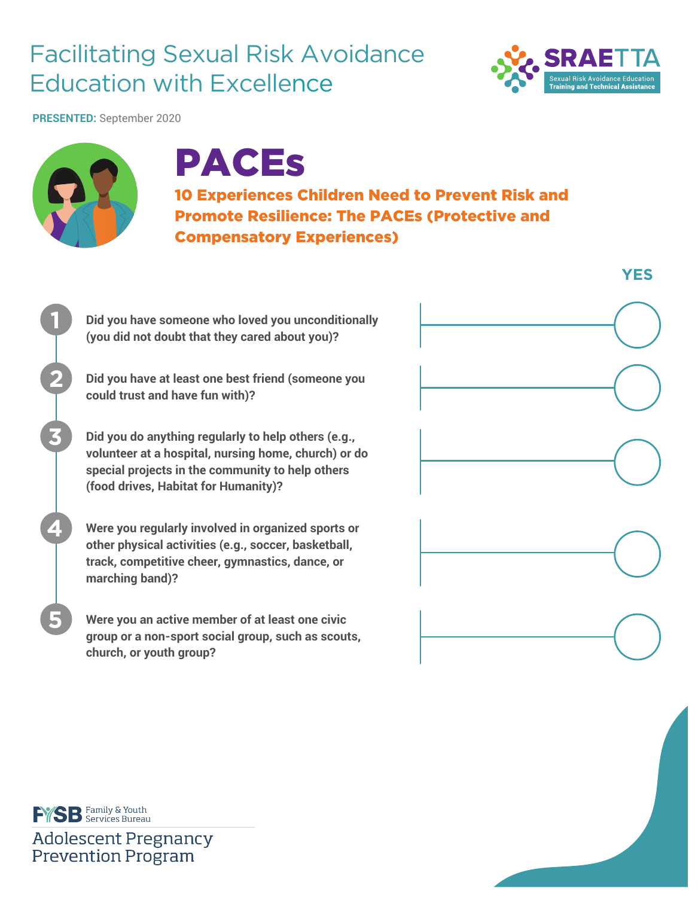## Facilitating Sexual Risk Avoidance Education with Excellence



**PRESENTED:** September 2020



## PACEs

10 Experiences Children Need to Prevent Risk and Promote Resilience: The PACEs (Protective and Compensatory Experiences)

**Did you have someone who loved you unconditionally (you did not doubt that they cared about you)?**

**Did you have at least one best friend (someone you could trust and have fun with)?**

**Did you do anything regularly to help others (e.g., volunteer at a hospital, nursing home, church) or do special projects in the community to help others (food drives, Habitat for Humanity)?**

**Were you regularly involved in organized sports or other physical activities (e.g., soccer, basketball, track, competitive cheer, gymnastics, dance, or marching band)?**

**Were you an active member of at least one civic group or a non-sport social group, such as scouts, church, or youth group?**



**EYS B** Family & Youth

**Adolescent Pregnancy Prevention Program**